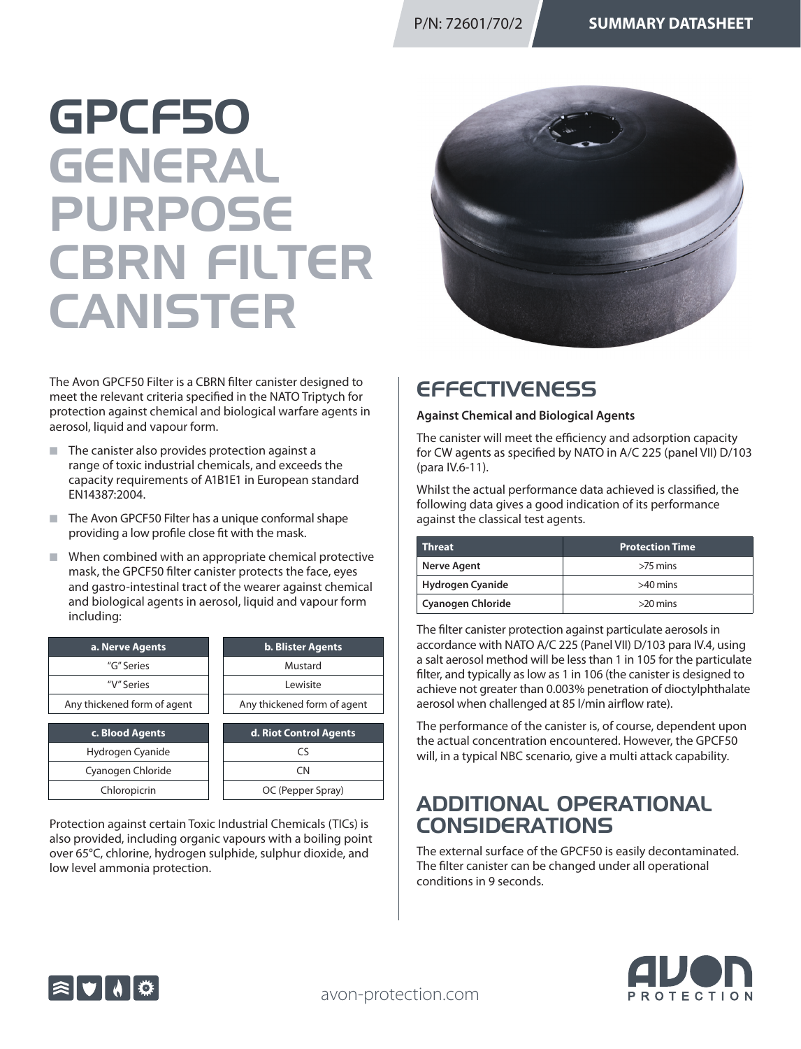# GPCF50 GENERAL PURPOSE CBRN FILTER CANISTER



The Avon GPCF50 Filter is a CBRN filter canister designed to meet the relevant criteria specified in the NATO Triptych for protection against chemical and biological warfare agents in aerosol, liquid and vapour form.

- $\blacksquare$  The canister also provides protection against a range of toxic industrial chemicals, and exceeds the capacity requirements of A1B1E1 in European standard EN14387:2004.
- $\blacksquare$  The Avon GPCF50 Filter has a unique conformal shape providing a low profile close fit with the mask.
- $\blacksquare$  When combined with an appropriate chemical protective mask, the GPCF50 filter canister protects the face, eyes and gastro-intestinal tract of the wearer against chemical and biological agents in aerosol, liquid and vapour form including:

| a. Nerve Agents             | <b>b. Blister Agents</b>    |
|-----------------------------|-----------------------------|
| "G" Series                  | Mustard                     |
| "V" Series                  | Lewisite                    |
| Any thickened form of agent | Any thickened form of agent |
|                             |                             |
|                             |                             |
| c. Blood Agents             | d. Riot Control Agents      |
| Hydrogen Cyanide            | CS                          |
| Cyanogen Chloride           | CN.                         |

Protection against certain Toxic Industrial Chemicals (TICs) is also provided, including organic vapours with a boiling point over 65°C, chlorine, hydrogen sulphide, sulphur dioxide, and low level ammonia protection.

# **EFFECTIVENESS**

### **Against Chemical and Biological Agents**

The canister will meet the efficiency and adsorption capacity for CW agents as specified by NATO in A/C 225 (panel VII) D/103 (para IV.6-11).

Whilst the actual performance data achieved is classified, the following data gives a good indication of its performance against the classical test agents.

| <b>Threat</b>            | <b>Protection Time</b> |
|--------------------------|------------------------|
| Nerve Agent              | $>75$ mins             |
| Hydrogen Cyanide         | $>40$ mins             |
| <b>Cyanogen Chloride</b> | $>20$ mins             |

The filter canister protection against particulate aerosols in accordance with NATO A/C 225 (Panel VII) D/103 para IV.4, using a salt aerosol method will be less than 1 in 105 for the particulate filter, and typically as low as 1 in 106 (the canister is designed to achieve not greater than 0.003% penetration of dioctylphthalate aerosol when challenged at 85 l/min airflow rate).

The performance of the canister is, of course, dependent upon the actual concentration encountered. However, the GPCF50 will, in a typical NBC scenario, give a multi attack capability.

### ADDITIONAL OPERATIONAL **CONSIDERATIONS**

The external surface of the GPCF50 is easily decontaminated. The filter canister can be changed under all operational conditions in 9 seconds.